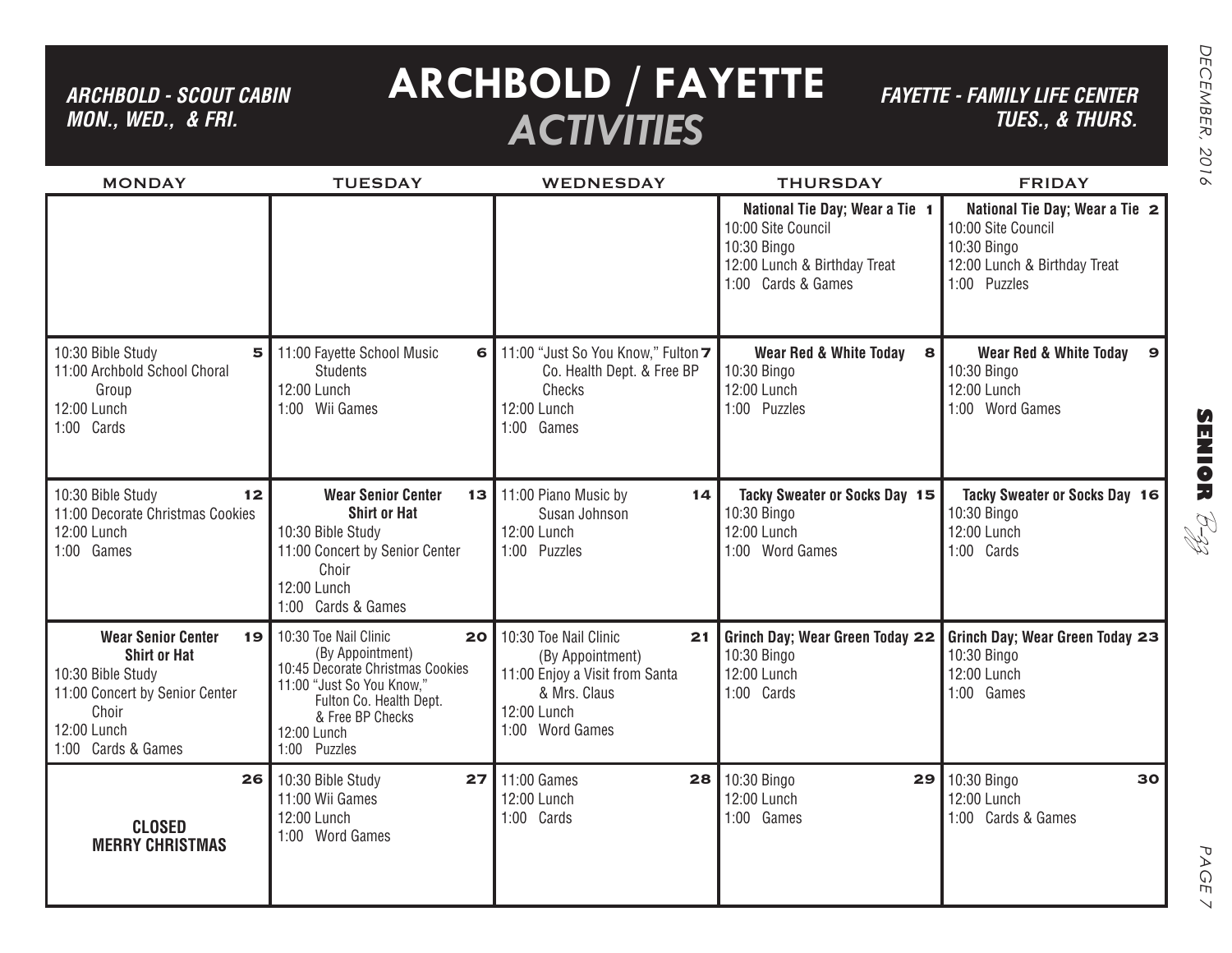*ARCHBOLD - SCOUT CABIN MON., WED., & FRI.*

# **ARCHBOLD / FAYETTE** *ACTIVITIES*

*FAYETTE - FAMILY LIFE CENTER TUES., & THURS.*

| <b>MONDAY</b>                                                                                                                                               | <b>TUESDAY</b>                                                                                                                                                                                 | <b>WEDNESDAY</b>                                                                                                                    | <b>THURSDAY</b>                                                                                                           | <b>FRIDAY</b>                                                                                                       |
|-------------------------------------------------------------------------------------------------------------------------------------------------------------|------------------------------------------------------------------------------------------------------------------------------------------------------------------------------------------------|-------------------------------------------------------------------------------------------------------------------------------------|---------------------------------------------------------------------------------------------------------------------------|---------------------------------------------------------------------------------------------------------------------|
|                                                                                                                                                             |                                                                                                                                                                                                |                                                                                                                                     | National Tie Day; Wear a Tie 1<br>10:00 Site Council<br>10:30 Bingo<br>12:00 Lunch & Birthday Treat<br>1:00 Cards & Games | National Tie Day; Wear a Tie 2<br>10:00 Site Council<br>10:30 Bingo<br>12:00 Lunch & Birthday Treat<br>1:00 Puzzles |
| 10:30 Bible Study<br>5<br>11:00 Archbold School Choral<br>Group<br>12:00 Lunch<br>1:00 Cards                                                                | 11:00 Fayette School Music<br>6<br><b>Students</b><br>12:00 Lunch<br>1:00 Wii Games                                                                                                            | 11:00 "Just So You Know," Fulton 7<br>Co. Health Dept. & Free BP<br>Checks<br>12:00 Lunch<br>1:00 Games                             | <b>Wear Red &amp; White Today</b><br>$\mathbf{s}$<br>10:30 Bingo<br>12:00 Lunch<br>1:00 Puzzles                           | <b>Wear Red &amp; White Today</b><br>9<br>10:30 Bingo<br>12:00 Lunch<br>1:00 Word Games                             |
| 10:30 Bible Study<br>12<br>11:00 Decorate Christmas Cookies<br>12:00 Lunch<br>1:00 Games                                                                    | <b>Wear Senior Center</b><br>13 <sup>1</sup><br><b>Shirt or Hat</b><br>10:30 Bible Study<br>11:00 Concert by Senior Center<br>Choir<br>12:00 Lunch<br>1:00 Cards & Games                       | 11:00 Piano Music by<br>14<br>Susan Johnson<br>12:00 Lunch<br>1:00 Puzzles                                                          | Tacky Sweater or Socks Day 15<br>10:30 Bingo<br>12:00 Lunch<br>1:00 Word Games                                            | Tacky Sweater or Socks Day 16<br>10:30 Bingo<br>12:00 Lunch<br>1:00 Cards                                           |
| <b>Wear Senior Center</b><br>19<br><b>Shirt or Hat</b><br>10:30 Bible Study<br>11:00 Concert by Senior Center<br>Choir<br>12:00 Lunch<br>1:00 Cards & Games | 10:30 Toe Nail Clinic<br>20<br>(By Appointment)<br>10:45 Decorate Christmas Cookies<br>11:00 "Just So You Know,"<br>Fulton Co. Health Dept.<br>& Free BP Checks<br>12:00 Lunch<br>1:00 Puzzles | 10:30 Toe Nail Clinic<br>21<br>(By Appointment)<br>11:00 Enjoy a Visit from Santa<br>& Mrs. Claus<br>12:00 Lunch<br>1:00 Word Games | Grinch Day; Wear Green Today 22<br>10:30 Bingo<br>12:00 Lunch<br>1:00 Cards                                               | Grinch Day; Wear Green Today 23<br>10:30 Bingo<br>12:00 Lunch<br>1:00 Games                                         |
| 26<br><b>CLOSED</b><br><b>MERRY CHRISTMAS</b>                                                                                                               | 10:30 Bible Study<br>27<br>11:00 Wii Games<br>12:00 Lunch<br>1:00 Word Games                                                                                                                   | 11:00 Games<br>28<br>12:00 Lunch<br>1:00 Cards                                                                                      | 10:30 Bingo<br>29<br>12:00 Lunch<br>1:00 Games                                                                            | 10:30 Bingo<br>30<br>12:00 Lunch<br>1:00 Cards & Games                                                              |

**SENIOR** B-zz

> PAGE PAGE 7  $\vee$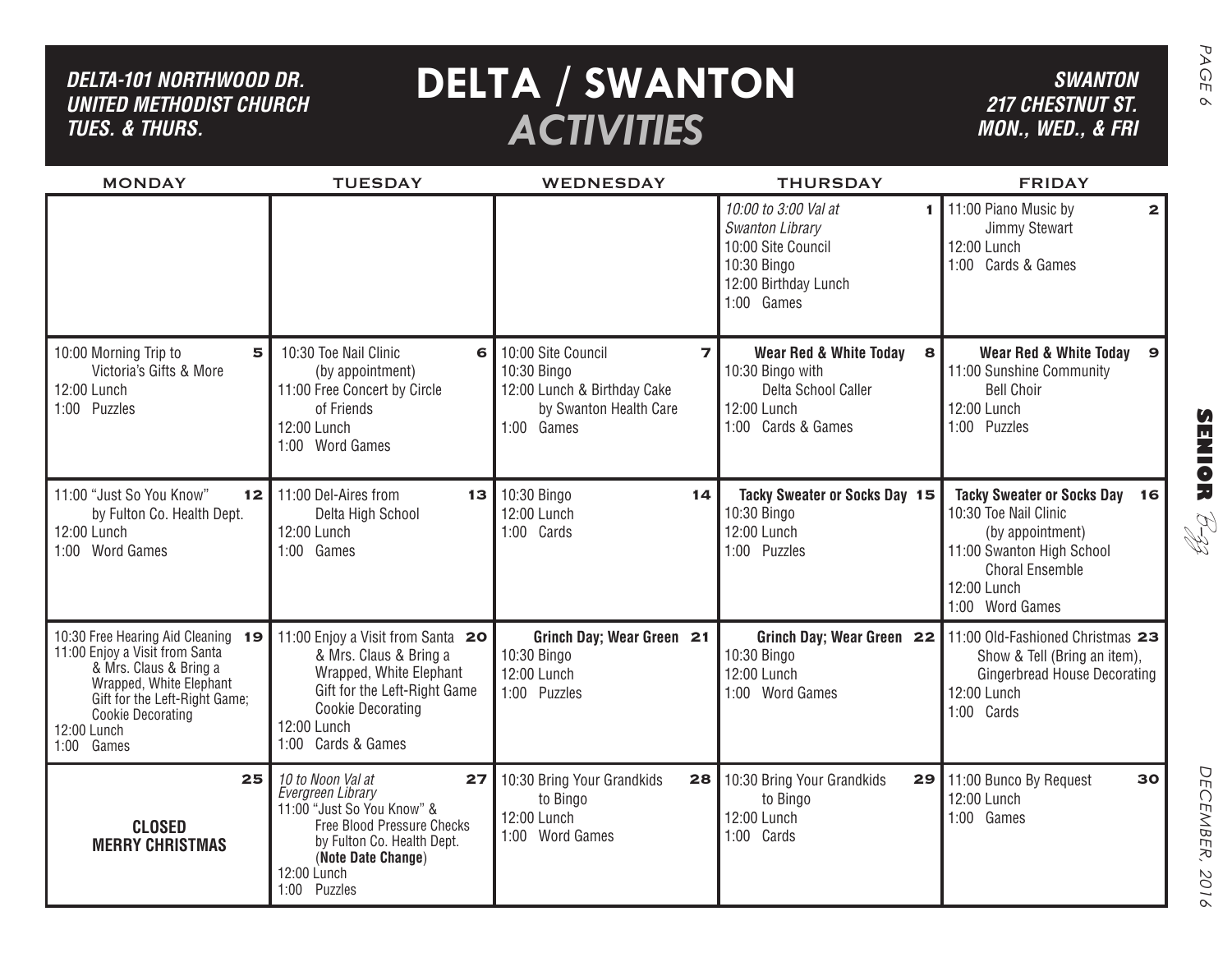| DELTA-101 NORTHWOOD DR.<br><b>UNITED METHODIST CHURCH</b><br><b>TUES. &amp; THURS.</b>                                                                                                                                 |                                                                                                                                                                                             | <b>DELTA / SWANTON</b><br><b>ACTIVITIES</b>                                                                                         |                                                                                                                        | <b>SWANTON</b><br><b>217 CHESTNUT ST.</b><br>MON., WED., & FRI                                                                                                                           |
|------------------------------------------------------------------------------------------------------------------------------------------------------------------------------------------------------------------------|---------------------------------------------------------------------------------------------------------------------------------------------------------------------------------------------|-------------------------------------------------------------------------------------------------------------------------------------|------------------------------------------------------------------------------------------------------------------------|------------------------------------------------------------------------------------------------------------------------------------------------------------------------------------------|
| <b>MONDAY</b>                                                                                                                                                                                                          | <b>TUESDAY</b>                                                                                                                                                                              | <b>WEDNESDAY</b>                                                                                                                    | <b>THURSDAY</b><br>10:00 to 3:00 Val at<br>1.                                                                          | <b>FRIDAY</b><br>11:00 Piano Music by<br>$\mathbf{2}$                                                                                                                                    |
|                                                                                                                                                                                                                        |                                                                                                                                                                                             |                                                                                                                                     | <b>Swanton Library</b><br>10:00 Site Council<br>10:30 Bingo<br>12:00 Birthday Lunch<br>1:00 Games                      | Jimmy Stewart<br>12:00 Lunch<br>1:00 Cards & Games                                                                                                                                       |
| 10:00 Morning Trip to<br>5<br>Victoria's Gifts & More<br>12:00 Lunch<br>1:00 Puzzles                                                                                                                                   | 10:30 Toe Nail Clinic<br>6<br>(by appointment)<br>11:00 Free Concert by Circle<br>of Friends<br>12:00 Lunch<br>1:00 Word Games                                                              | 10:00 Site Council<br>$\overline{\mathbf{z}}$<br>10:30 Bingo<br>12:00 Lunch & Birthday Cake<br>by Swanton Health Care<br>1:00 Games | <b>Wear Red &amp; White Today</b><br>8<br>10:30 Bingo with<br>Delta School Caller<br>12:00 Lunch<br>1:00 Cards & Games | <b>Wear Red &amp; White Today</b><br>$\mathbf{9}$<br>11:00 Sunshine Community<br><b>Bell Choir</b><br>12:00 Lunch<br>1:00 Puzzles                                                        |
| 11:00 "Just So You Know"<br>12 <sub>1</sub><br>by Fulton Co. Health Dept.<br>12:00 Lunch<br>1:00 Word Games                                                                                                            | 11:00 Del-Aires from<br>13<br>Delta High School<br>12:00 Lunch<br>1:00<br>Games                                                                                                             | 10:30 Bingo<br>14<br>12:00 Lunch<br>1:00 Cards                                                                                      | Tacky Sweater or Socks Day 15<br>10:30 Bingo<br>12:00 Lunch<br>1:00 Puzzles                                            | <b>Tacky Sweater or Socks Day</b><br>16<br>10:30 Toe Nail Clinic<br>RI<br>R<br>(by appointment)<br>11:00 Swanton High School<br><b>Choral Ensemble</b><br>12:00 Lunch<br>1:00 Word Games |
| 10:30 Free Hearing Aid Cleaning<br>19<br>11:00 Enjoy a Visit from Santa<br>& Mrs. Claus & Bring a<br>Wrapped, White Elephant<br>Gift for the Left-Right Game;<br><b>Cookie Decorating</b><br>12:00 Lunch<br>1:00 Games | 11:00 Enjoy a Visit from Santa 20<br>& Mrs. Claus & Bring a<br>Wrapped, White Elephant<br>Gift for the Left-Right Game<br><b>Cookie Decorating</b><br>12:00 Lunch<br>1:00 Cards & Games     | Grinch Day; Wear Green 21<br>10:30 Bingo<br>12:00 Lunch<br>1:00 Puzzles                                                             | Grinch Day; Wear Green 22<br>10:30 Bingo<br>12:00 Lunch<br>1:00 Word Games                                             | 11:00 Old-Fashioned Christmas 23<br>Show & Tell (Bring an item),<br><b>Gingerbread House Decorating</b><br>12:00 Lunch<br>1:00 Cards                                                     |
| 25<br><b>CLOSED</b><br><b>MERRY CHRISTMAS</b>                                                                                                                                                                          | 10 to Noon Val at<br>27<br>Evergreen Library<br>11:00 "Just So You Know" &<br>Free Blood Pressure Checks<br>by Fulton Co. Health Dept.<br>(Note Date Change)<br>12:00 Lunch<br>1:00 Puzzles | 10:30 Bring Your Grandkids<br>28<br>to Bingo<br>12:00 Lunch<br>1:00 Word Games                                                      | 10:30 Bring Your Grandkids<br>to Bingo<br>12:00 Lunch<br>1:00 Cards                                                    | 30<br>29 11:00 Bunco By Request<br>12:00 Lunch<br>1:00 Games                                                                                                                             |